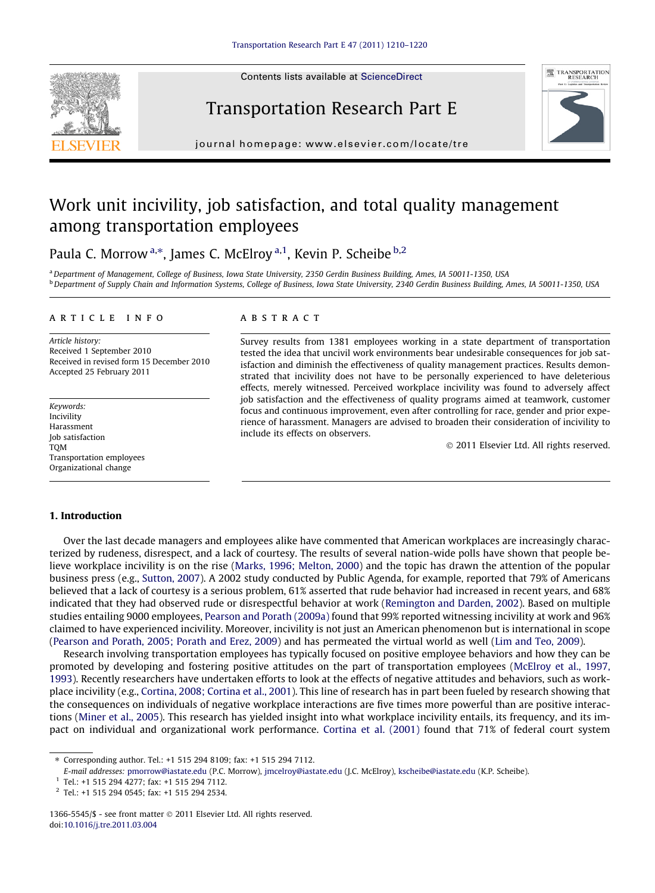Contents lists available at [ScienceDirect](http://www.sciencedirect.com/science/journal/13665545)







journal homepage: [www.elsevier.com/locate/tre](http://www.elsevier.com/locate/tre)

# Work unit incivility, job satisfaction, and total quality management among transportation employees

Paula C. Morrow<sup>a,\*</sup>, James C. McElroy<sup>a,1</sup>, Kevin P. Scheibe<sup>b,2</sup>

a Department of Management, College of Business, Iowa State University, 2350 Gerdin Business Building, Ames, IA 50011-1350, USA b Department of Supply Chain and Information Systems, College of Business, Iowa State University, 2340 Gerdin Business Building, Ames, IA 50011-1350, USA

#### article info

Article history: Received 1 September 2010 Received in revised form 15 December 2010 Accepted 25 February 2011

Keywords: Incivility Harassment Job satisfaction **TOM** Transportation employees Organizational change

#### **ABSTRACT**

Survey results from 1381 employees working in a state department of transportation tested the idea that uncivil work environments bear undesirable consequences for job satisfaction and diminish the effectiveness of quality management practices. Results demonstrated that incivility does not have to be personally experienced to have deleterious effects, merely witnessed. Perceived workplace incivility was found to adversely affect job satisfaction and the effectiveness of quality programs aimed at teamwork, customer focus and continuous improvement, even after controlling for race, gender and prior experience of harassment. Managers are advised to broaden their consideration of incivility to include its effects on observers.

- 2011 Elsevier Ltd. All rights reserved.

### 1. Introduction

Over the last decade managers and employees alike have commented that American workplaces are increasingly characterized by rudeness, disrespect, and a lack of courtesy. The results of several nation-wide polls have shown that people believe workplace incivility is on the rise [\(Marks, 1996; Melton, 2000\)](#page--1-0) and the topic has drawn the attention of the popular business press (e.g., [Sutton, 2007](#page--1-0)). A 2002 study conducted by Public Agenda, for example, reported that 79% of Americans believed that a lack of courtesy is a serious problem, 61% asserted that rude behavior had increased in recent years, and 68% indicated that they had observed rude or disrespectful behavior at work [\(Remington and Darden, 2002](#page--1-0)). Based on multiple studies entailing 9000 employees, [Pearson and Porath \(2009a\)](#page--1-0) found that 99% reported witnessing incivility at work and 96% claimed to have experienced incivility. Moreover, incivility is not just an American phenomenon but is international in scope [\(Pearson and Porath, 2005; Porath and Erez, 2009\)](#page--1-0) and has permeated the virtual world as well ([Lim and Teo, 2009\)](#page--1-0).

Research involving transportation employees has typically focused on positive employee behaviors and how they can be promoted by developing and fostering positive attitudes on the part of transportation employees [\(McElroy et al., 1997,](#page--1-0) [1993](#page--1-0)). Recently researchers have undertaken efforts to look at the effects of negative attitudes and behaviors, such as workplace incivility (e.g., [Cortina, 2008; Cortina et al., 2001\)](#page--1-0). This line of research has in part been fueled by research showing that the consequences on individuals of negative workplace interactions are five times more powerful than are positive interactions [\(Miner et al., 2005](#page--1-0)). This research has yielded insight into what workplace incivility entails, its frequency, and its impact on individual and organizational work performance. [Cortina et al. \(2001\)](#page--1-0) found that 71% of federal court system

Corresponding author. Tel.: +1 515 294 8109; fax: +1 515 294 7112.

E-mail addresses: [pmorrow@iastate.edu](mailto:pmorrow@iastate.edu) (P.C. Morrow), [jmcelroy@iastate.edu](mailto:jmcelroy@iastate.edu) (J.C. McElroy), [kscheibe@iastate.edu](mailto:kscheibe@iastate.edu) (K.P. Scheibe).

<sup>1</sup> Tel.: +1 515 294 4277; fax: +1 515 294 7112.

<sup>2</sup> Tel.: +1 515 294 0545; fax: +1 515 294 2534.

<sup>1366-5545/\$ -</sup> see front matter  $\odot$  2011 Elsevier Ltd. All rights reserved. doi[:10.1016/j.tre.2011.03.004](http://dx.doi.org/10.1016/j.tre.2011.03.004)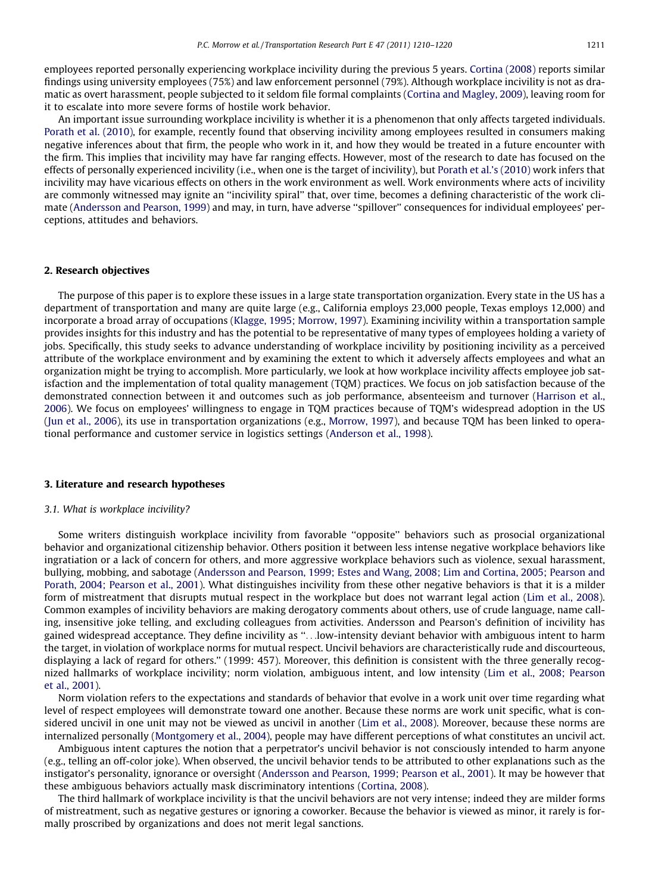employees reported personally experiencing workplace incivility during the previous 5 years. [Cortina \(2008\)](#page--1-0) reports similar findings using university employees (75%) and law enforcement personnel (79%). Although workplace incivility is not as dramatic as overt harassment, people subjected to it seldom file formal complaints ([Cortina and Magley, 2009](#page--1-0)), leaving room for it to escalate into more severe forms of hostile work behavior.

An important issue surrounding workplace incivility is whether it is a phenomenon that only affects targeted individuals. [Porath et al. \(2010\)](#page--1-0), for example, recently found that observing incivility among employees resulted in consumers making negative inferences about that firm, the people who work in it, and how they would be treated in a future encounter with the firm. This implies that incivility may have far ranging effects. However, most of the research to date has focused on the effects of personally experienced incivility (i.e., when one is the target of incivility), but [Porath et al.'s \(2010\)](#page--1-0) work infers that incivility may have vicarious effects on others in the work environment as well. Work environments where acts of incivility are commonly witnessed may ignite an ''incivility spiral'' that, over time, becomes a defining characteristic of the work climate [\(Andersson and Pearson, 1999](#page--1-0)) and may, in turn, have adverse ''spillover'' consequences for individual employees' perceptions, attitudes and behaviors.

#### 2. Research objectives

The purpose of this paper is to explore these issues in a large state transportation organization. Every state in the US has a department of transportation and many are quite large (e.g., California employs 23,000 people, Texas employs 12,000) and incorporate a broad array of occupations ([Klagge, 1995; Morrow, 1997](#page--1-0)). Examining incivility within a transportation sample provides insights for this industry and has the potential to be representative of many types of employees holding a variety of jobs. Specifically, this study seeks to advance understanding of workplace incivility by positioning incivility as a perceived attribute of the workplace environment and by examining the extent to which it adversely affects employees and what an organization might be trying to accomplish. More particularly, we look at how workplace incivility affects employee job satisfaction and the implementation of total quality management (TQM) practices. We focus on job satisfaction because of the demonstrated connection between it and outcomes such as job performance, absenteeism and turnover [\(Harrison et al.,](#page--1-0) [2006\)](#page--1-0). We focus on employees' willingness to engage in TQM practices because of TQM's widespread adoption in the US ([Jun et al., 2006](#page--1-0)), its use in transportation organizations (e.g., [Morrow, 1997\)](#page--1-0), and because TQM has been linked to operational performance and customer service in logistics settings [\(Anderson et al., 1998](#page--1-0)).

#### 3. Literature and research hypotheses

## 3.1. What is workplace incivility?

Some writers distinguish workplace incivility from favorable ''opposite'' behaviors such as prosocial organizational behavior and organizational citizenship behavior. Others position it between less intense negative workplace behaviors like ingratiation or a lack of concern for others, and more aggressive workplace behaviors such as violence, sexual harassment, bullying, mobbing, and sabotage ([Andersson and Pearson, 1999; Estes and Wang, 2008; Lim and Cortina, 2005; Pearson and](#page--1-0) [Porath, 2004; Pearson et al., 2001\)](#page--1-0). What distinguishes incivility from these other negative behaviors is that it is a milder form of mistreatment that disrupts mutual respect in the workplace but does not warrant legal action [\(Lim et al., 2008](#page--1-0)). Common examples of incivility behaviors are making derogatory comments about others, use of crude language, name calling, insensitive joke telling, and excluding colleagues from activities. Andersson and Pearson's definition of incivility has gained widespread acceptance. They define incivility as ''...low-intensity deviant behavior with ambiguous intent to harm the target, in violation of workplace norms for mutual respect. Uncivil behaviors are characteristically rude and discourteous, displaying a lack of regard for others.'' (1999: 457). Moreover, this definition is consistent with the three generally recognized hallmarks of workplace incivility; norm violation, ambiguous intent, and low intensity ([Lim et al., 2008; Pearson](#page--1-0) [et al., 2001\)](#page--1-0).

Norm violation refers to the expectations and standards of behavior that evolve in a work unit over time regarding what level of respect employees will demonstrate toward one another. Because these norms are work unit specific, what is considered uncivil in one unit may not be viewed as uncivil in another ([Lim et al., 2008\)](#page--1-0). Moreover, because these norms are internalized personally [\(Montgomery et al., 2004](#page--1-0)), people may have different perceptions of what constitutes an uncivil act.

Ambiguous intent captures the notion that a perpetrator's uncivil behavior is not consciously intended to harm anyone (e.g., telling an off-color joke). When observed, the uncivil behavior tends to be attributed to other explanations such as the instigator's personality, ignorance or oversight ([Andersson and Pearson, 1999; Pearson et al., 2001](#page--1-0)). It may be however that these ambiguous behaviors actually mask discriminatory intentions ([Cortina, 2008\)](#page--1-0).

The third hallmark of workplace incivility is that the uncivil behaviors are not very intense; indeed they are milder forms of mistreatment, such as negative gestures or ignoring a coworker. Because the behavior is viewed as minor, it rarely is formally proscribed by organizations and does not merit legal sanctions.